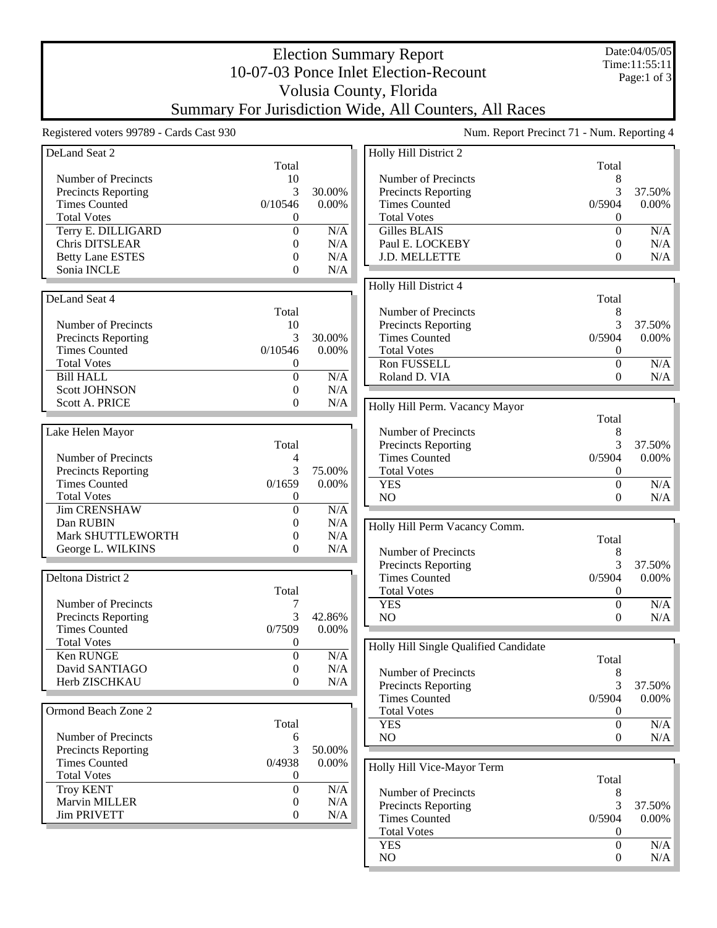## Election Summary Report 10-07-03 Ponce Inlet Election-Recount Volusia County, Florida Summary For Jurisdiction Wide, All Counters, All Races

Date:04/05/05 Time:11:55:11 Page:1 of 3

Registered voters 99789 - Cards Cast 930 Num. Report Precinct 71 - Num. Reporting 4

| DeLand Seat 2              |                  |           | Holly Hill District 2                       |                  |           |
|----------------------------|------------------|-----------|---------------------------------------------|------------------|-----------|
|                            | Total            |           |                                             | Total            |           |
| Number of Precincts        | 10               |           | Number of Precincts                         | 8                |           |
| <b>Precincts Reporting</b> | 3                | 30.00%    | <b>Precincts Reporting</b>                  | 3                | 37.50%    |
| <b>Times Counted</b>       | 0/10546          | 0.00%     | <b>Times Counted</b>                        | 0/5904           | 0.00%     |
| <b>Total Votes</b>         | 0                |           | <b>Total Votes</b>                          | $\boldsymbol{0}$ |           |
| Terry E. DILLIGARD         | $\overline{0}$   | N/A       | <b>Gilles BLAIS</b>                         | $\theta$         | N/A       |
| <b>Chris DITSLEAR</b>      | $\overline{0}$   | N/A       | Paul E. LOCKEBY                             | $\boldsymbol{0}$ | N/A       |
| <b>Betty Lane ESTES</b>    | $\overline{0}$   | N/A       | J.D. MELLETTE                               | $\theta$         | N/A       |
| Sonia INCLE                | $\overline{0}$   | N/A       |                                             |                  |           |
|                            |                  |           |                                             |                  |           |
| DeLand Seat 4              |                  |           | Holly Hill District 4                       | Total            |           |
|                            | Total            |           | Number of Precincts                         |                  |           |
| Number of Precincts        |                  |           |                                             | 8                |           |
|                            | 10               | 30.00%    | Precincts Reporting<br><b>Times Counted</b> | 3                | 37.50%    |
| <b>Precincts Reporting</b> | 3                |           |                                             | 0/5904           | 0.00%     |
| <b>Times Counted</b>       | 0/10546          | 0.00%     | <b>Total Votes</b>                          | $\boldsymbol{0}$ |           |
| <b>Total Votes</b>         | 0                |           | Ron FUSSELL                                 | $\boldsymbol{0}$ | N/A       |
| <b>Bill HALL</b>           | $\overline{0}$   | N/A       | Roland D. VIA                               | $\mathbf{0}$     | N/A       |
| <b>Scott JOHNSON</b>       | $\overline{0}$   | N/A       |                                             |                  |           |
| Scott A. PRICE             | $\overline{0}$   | N/A       | Holly Hill Perm. Vacancy Mayor              |                  |           |
|                            |                  |           |                                             | Total            |           |
| Lake Helen Mayor           |                  |           | Number of Precincts                         | 8                |           |
|                            | Total            |           | <b>Precincts Reporting</b>                  | 3                | 37.50%    |
| Number of Precincts        | 4                |           | <b>Times Counted</b>                        | 0/5904           | 0.00%     |
| <b>Precincts Reporting</b> | 3                | 75.00%    | <b>Total Votes</b>                          | $\boldsymbol{0}$ |           |
| <b>Times Counted</b>       | 0/1659           | 0.00%     | <b>YES</b>                                  | $\boldsymbol{0}$ | N/A       |
| <b>Total Votes</b>         | 0                |           | NO                                          | $\mathbf{0}$     | N/A       |
| <b>Jim CRENSHAW</b>        | $\theta$         | N/A       |                                             |                  |           |
| Dan RUBIN                  | 0                | N/A       | Holly Hill Perm Vacancy Comm.               |                  |           |
| Mark SHUTTLEWORTH          | 0                | N/A       |                                             | Total            |           |
| George L. WILKINS          | 0                | N/A       | Number of Precincts                         | 8                |           |
|                            |                  |           | <b>Precincts Reporting</b>                  | 3                | 37.50%    |
| Deltona District 2         |                  |           | <b>Times Counted</b>                        | 0/5904           | 0.00%     |
|                            | Total            |           | <b>Total Votes</b>                          | $\boldsymbol{0}$ |           |
| Number of Precincts        | 7                |           | <b>YES</b>                                  | $\boldsymbol{0}$ | N/A       |
| <b>Precincts Reporting</b> | 3                | 42.86%    | NO                                          | $\mathbf{0}$     | N/A       |
| <b>Times Counted</b>       | 0/7509           | 0.00%     |                                             |                  |           |
| <b>Total Votes</b>         | 0                |           |                                             |                  |           |
| Ken RUNGE                  | $\boldsymbol{0}$ | N/A       | Holly Hill Single Qualified Candidate       |                  |           |
| David SANTIAGO             | 0                | N/A       |                                             | Total            |           |
| Herb ZISCHKAU              | $\boldsymbol{0}$ | N/A       | Number of Precincts                         | 8                |           |
|                            |                  |           | <b>Precincts Reporting</b>                  | 3                | 37.50%    |
|                            |                  |           | <b>Times Counted</b>                        | 0/5904           | $0.00\%$  |
| Ormond Beach Zone 2        |                  |           | <b>Total Votes</b>                          | $\boldsymbol{0}$ |           |
|                            | Total            |           | <b>YES</b>                                  | $\boldsymbol{0}$ | N/A       |
| Number of Precincts        | 6                |           | NO                                          | $\boldsymbol{0}$ | N/A       |
| <b>Precincts Reporting</b> | 3                | 50.00%    |                                             |                  |           |
| <b>Times Counted</b>       | 0/4938           | $0.00\%$  | Holly Hill Vice-Mayor Term                  |                  |           |
| <b>Total Votes</b>         | 0                |           |                                             | Total            |           |
| <b>Troy KENT</b>           | $\overline{0}$   | $\rm N/A$ | Number of Precincts                         | 8                |           |
| Marvin MILLER              | 0                | N/A       | Precincts Reporting                         | 3                | 37.50%    |
| <b>Jim PRIVETT</b>         | $\boldsymbol{0}$ | N/A       | <b>Times Counted</b>                        | 0/5904           | $0.00\%$  |
|                            |                  |           | <b>Total Votes</b>                          | $\boldsymbol{0}$ |           |
|                            |                  |           | <b>YES</b>                                  | $\boldsymbol{0}$ | N/A       |
|                            |                  |           | NO                                          | $\boldsymbol{0}$ | $\rm N/A$ |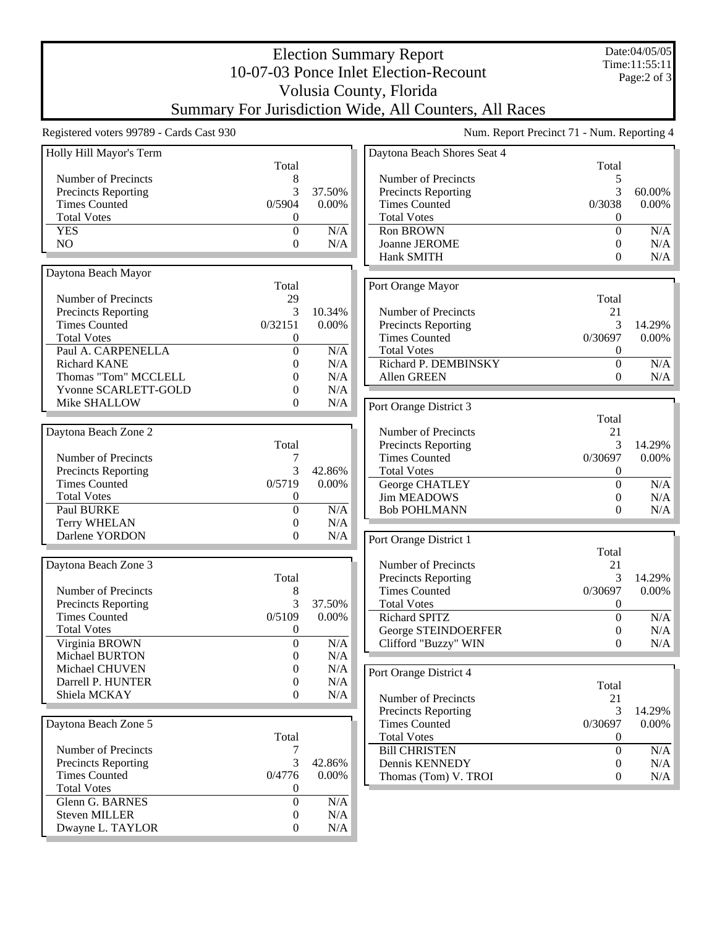## Election Summary Report 10-07-03 Ponce Inlet Election-Recount Volusia County, Florida Summary For Jurisdiction Wide, All Counters, All Races

Date:04/05/05 Time:11:55:11 Page:2 of 3

Registered voters 99789 - Cards Cast 930 Num. Report Precinct 71 - Num. Reporting 4

| Holly Hill Mayor's Term    |                  |           | Daytona Beach Shores Seat 4 |                  |          |
|----------------------------|------------------|-----------|-----------------------------|------------------|----------|
|                            | Total            |           |                             | Total            |          |
| Number of Precincts        | 8                |           | Number of Precincts         | 5                |          |
| <b>Precincts Reporting</b> | 3                | 37.50%    | Precincts Reporting         | 3                | 60.00%   |
| <b>Times Counted</b>       | 0/5904           | 0.00%     | <b>Times Counted</b>        | 0/3038           | $0.00\%$ |
| <b>Total Votes</b>         | 0                |           | <b>Total Votes</b>          | $\boldsymbol{0}$ |          |
| <b>YES</b>                 | $\Omega$         | N/A       | Ron BROWN                   | $\boldsymbol{0}$ | N/A      |
| NO.                        | $\theta$         | N/A       | Joanne JEROME               | $\boldsymbol{0}$ | N/A      |
|                            |                  |           | Hank SMITH                  | 0                | N/A      |
| Daytona Beach Mayor        |                  |           |                             |                  |          |
|                            | Total            |           | Port Orange Mayor           |                  |          |
| Number of Precincts        | 29               |           |                             | Total            |          |
| <b>Precincts Reporting</b> | 3                | 10.34%    | Number of Precincts         | 21               |          |
| <b>Times Counted</b>       | 0/32151          | 0.00%     | Precincts Reporting         | 3                | 14.29%   |
| <b>Total Votes</b>         | $\theta$         |           | <b>Times Counted</b>        | 0/30697          | $0.00\%$ |
| Paul A. CARPENELLA         | $\theta$         | N/A       | <b>Total Votes</b>          | 0                |          |
| <b>Richard KANE</b>        | $\Omega$         | N/A       | Richard P. DEMBINSKY        | $\boldsymbol{0}$ | N/A      |
| Thomas "Tom" MCCLELL       | 0                | N/A       | Allen GREEN                 | 0                | N/A      |
| Yvonne SCARLETT-GOLD       | $\theta$         | N/A       |                             |                  |          |
| Mike SHALLOW               | $\mathbf{0}$     | N/A       | Port Orange District 3      |                  |          |
|                            |                  |           |                             | Total            |          |
| Daytona Beach Zone 2       |                  |           | Number of Precincts         | 21               |          |
|                            | Total            |           | Precincts Reporting         | 3                | 14.29%   |
| Number of Precincts        | 7                |           | <b>Times Counted</b>        | 0/30697          | $0.00\%$ |
| Precincts Reporting        | 3                | 42.86%    | <b>Total Votes</b>          | 0                |          |
| <b>Times Counted</b>       | 0/5719           | 0.00%     | George CHATLEY              | $\boldsymbol{0}$ | N/A      |
| <b>Total Votes</b>         | 0                |           | <b>Jim MEADOWS</b>          | $\boldsymbol{0}$ | N/A      |
| Paul BURKE                 | $\boldsymbol{0}$ | N/A       | <b>Bob POHLMANN</b>         | 0                | N/A      |
| <b>Terry WHELAN</b>        | $\theta$         | N/A       |                             |                  |          |
| Darlene YORDON             | 0                | N/A       |                             |                  |          |
|                            |                  |           | Port Orange District 1      |                  |          |
|                            |                  |           |                             | Total            |          |
| Daytona Beach Zone 3       |                  |           | Number of Precincts         | 21               |          |
|                            | Total            |           | <b>Precincts Reporting</b>  | 3                | 14.29%   |
| Number of Precincts        | 8                |           | <b>Times Counted</b>        | 0/30697          | $0.00\%$ |
| <b>Precincts Reporting</b> | 3<br>0/5109      | 37.50%    | <b>Total Votes</b>          | 0                |          |
| <b>Times Counted</b>       |                  | 0.00%     | Richard SPITZ               | $\mathbf{0}$     | N/A      |
| <b>Total Votes</b>         | 0                |           | George STEINDOERFER         | $\boldsymbol{0}$ | N/A      |
| Virginia BROWN             | $\boldsymbol{0}$ | $\rm N/A$ | Clifford "Buzzy" WIN        | $\boldsymbol{0}$ | N/A      |
| Michael BURTON             | $\theta$         | N/A       |                             |                  |          |
| Michael CHUVEN             | 0                | N/A       | Port Orange District 4      |                  |          |
| Darrell P. HUNTER          | $\theta$         | N/A       |                             | Total            |          |
| Shiela MCKAY               | $\mathbf{0}$     | N/A       | Number of Precincts         | 21               |          |
|                            |                  |           | Precincts Reporting         | 3                | 14.29%   |
| Daytona Beach Zone 5       |                  |           | <b>Times Counted</b>        | 0/30697          | $0.00\%$ |
|                            | Total            |           | <b>Total Votes</b>          | 0                |          |
| Number of Precincts        | 7                |           | <b>Bill CHRISTEN</b>        | $\boldsymbol{0}$ | N/A      |
| <b>Precincts Reporting</b> | 3                | 42.86%    | Dennis KENNEDY              | $\boldsymbol{0}$ | N/A      |
| <b>Times Counted</b>       | 0/4776           | 0.00%     | Thomas (Tom) V. TROI        | $\boldsymbol{0}$ | N/A      |
| <b>Total Votes</b>         | $\boldsymbol{0}$ |           |                             |                  |          |
| Glenn G. BARNES            | $\boldsymbol{0}$ | N/A       |                             |                  |          |
| <b>Steven MILLER</b>       | 0                | N/A       |                             |                  |          |
| Dwayne L. TAYLOR           | 0                | N/A       |                             |                  |          |